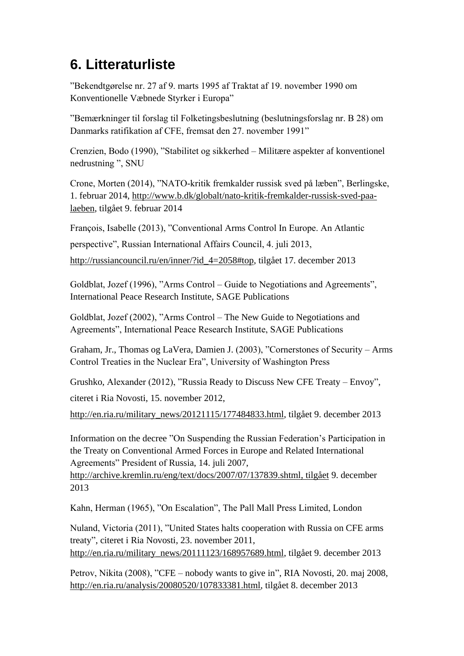## **6. Litteraturliste**

"Bekendtgørelse nr. 27 af 9. marts 1995 af Traktat af 19. november 1990 om Konventionelle Væbnede Styrker i Europa"

"Bemærkninger til forslag til Folketingsbeslutning (beslutningsforslag nr. B 28) om Danmarks ratifikation af CFE, fremsat den 27. november 1991"

Crenzien, Bodo (1990), "Stabilitet og sikkerhed – Militære aspekter af konventionel nedrustning ", SNU

Crone, Morten (2014), "NATO-kritik fremkalder russisk sved på læben", Berlingske, 1. februar 2014, [http://www.b.dk/globalt/nato-kritik-fremkalder-russisk-sved-paa](http://www.b.dk/globalt/nato-kritik-fremkalder-russisk-sved-paa-laeben)[laeben,](http://www.b.dk/globalt/nato-kritik-fremkalder-russisk-sved-paa-laeben) tilgået 9. februar 2014

François, Isabelle (2013), "Conventional Arms Control In Europe. An Atlantic perspective", Russian International Affairs Council, 4. juli 2013, [http://russiancouncil.ru/en/inner/?id\\_4=2058#top,](http://russiancouncil.ru/en/inner/?id_4=2058#top) tilgået 17. december 2013

Goldblat, Jozef (1996), "Arms Control – Guide to Negotiations and Agreements", International Peace Research Institute, SAGE Publications

Goldblat, Jozef (2002), "Arms Control – The New Guide to Negotiations and Agreements", International Peace Research Institute, SAGE Publications

Graham, Jr., Thomas og LaVera, Damien J. (2003), "Cornerstones of Security – Arms Control Treaties in the Nuclear Era", University of Washington Press

Grushko, Alexander (2012), ["Russia Ready to Discuss New CFE Treaty –](http://en.ria.ru/military_news/20121115/177484833.html) Envoy",

citeret i Ria Novosti, 15. november 2012,

[http://en.ria.ru/military\\_news/20121115/177484833.html,](http://en.ria.ru/military_news/20121115/177484833.html) tilgået 9. december 2013

Information on the decree "On Suspending the Russian Federation's Participation in the Treaty on Conventional Armed Forces in Europe and Related International Agreements" President of Russia, 14. juli 2007,

[http://archive.kremlin.ru/eng/text/docs/2007/07/137839.shtml,](http://archive.kremlin.ru/eng/text/docs/2007/07/137839.shtml) tilgået 9. december 2013

Kahn, Herman (1965), "On Escalation", The Pall Mall Press Limited, London

Nuland, Victoria (2011), ["United States halts cooperation with Russia on CFE arms](http://en.ria.ru/military_news/20111123/168957689.html)  [treaty"](http://en.ria.ru/military_news/20111123/168957689.html), citeret i Ria Novosti, 23. november 2011, [http://en.ria.ru/military\\_news/20111123/168957689.html,](http://en.ria.ru/military_news/20111123/168957689.html) tilgået 9. december 2013

Petrov, Nikita (2008), "CFE – [nobody wants to give in"](http://en.ria.ru/analysis/20080520/107833381.html), RIA Novosti, 20. maj 2008,

[http://en.ria.ru/analysis/20080520/107833381.html,](http://en.ria.ru/analysis/20080520/107833381.html) tilgået 8. december 2013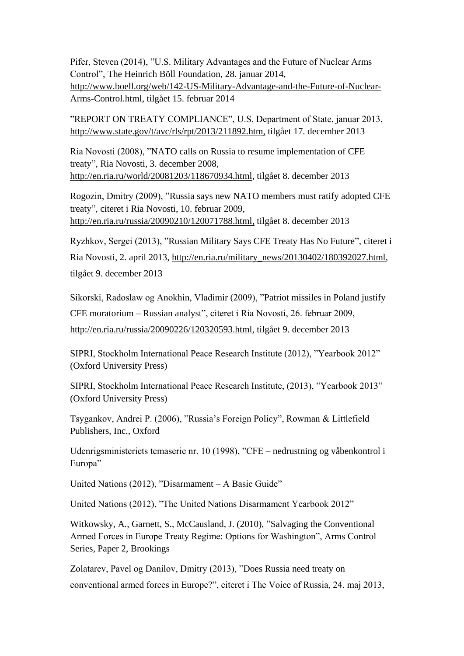Pifer, Steven (2014), "U.S. Military Advantages and the Future of Nuclear Arms Control", The Heinrich Böll Foundation, 28. januar 2014, [http://www.boell.org/web/142-US-Military-Advantage-and-the-Future-of-Nuclear-](http://www.boell.org/web/142-US-Military-Advantage-and-the-Future-of-Nuclear-Arms-Control.html)[Arms-Control.html,](http://www.boell.org/web/142-US-Military-Advantage-and-the-Future-of-Nuclear-Arms-Control.html) tilgået 15. februar 2014

"REPORT ON TREATY COMPLIANCE", U.S. Department of State, januar 2013, [http://www.state.gov/t/avc/rls/rpt/2013/211892.htm,](http://www.state.gov/t/avc/rls/rpt/2013/211892.htm) tilgået 17. december 2013

Ria Novosti (2008), ["NATO calls on Russia to resume implementation of CFE](http://en.ria.ru/world/20081203/118670934.html)  [treaty"](http://en.ria.ru/world/20081203/118670934.html), Ria Novosti, 3. december 2008, [http://en.ria.ru/world/20081203/118670934.html,](http://en.ria.ru/world/20081203/118670934.html) tilgået 8. december 2013

Rogozin, Dmitry (2009), ["Russia says new NATO members must ratify adopted CFE](http://en.ria.ru/russia/20090210/120071788.html)  [treaty"](http://en.ria.ru/russia/20090210/120071788.html), citeret i Ria Novosti, 10. februar 2009, [http://en.ria.ru/russia/20090210/120071788.html,](http://en.ria.ru/russia/20090210/120071788.html) tilgået 8. december 2013

Ryzhkov, Sergei (2013), ["Russian Military Says CFE Treaty Has No Future"](http://en.ria.ru/military_news/20130402/180392027/Russian-Military-Says-CFE-Treaty-Has-No-Future.html), citeret i Ria Novosti, 2. april 2013, [http://en.ria.ru/military\\_news/20130402/180392027.html,](http://en.ria.ru/military_news/20130402/180392027.html) tilgået 9. december 2013

Sikorski, Radoslaw og Anokhin, Vladimir (2009), ["Patriot missiles in Poland justify](http://en.ria.ru/russia/20090226/120320593.html)  [CFE moratorium –](http://en.ria.ru/russia/20090226/120320593.html) Russian analyst", citeret i Ria Novosti, 26. februar 2009, [http://en.ria.ru/russia/20090226/120320593.html,](http://en.ria.ru/russia/20090226/120320593.html) tilgået 9. december 2013

SIPRI, Stockholm International Peace Research Institute (2012), "Yearbook 2012" (Oxford University Press)

SIPRI, Stockholm International Peace Research Institute, (2013), "Yearbook 2013" (Oxford University Press)

Tsygankov, Andrei P. (2006), "Russia's Foreign Policy", Rowman & Littlefield Publishers, Inc., Oxford

Udenrigsministeriets temaserie nr. 10 (1998), "CFE – nedrustning og våbenkontrol i Europa"

United Nations (2012), "Disarmament – A Basic Guide"

United Nations (2012), "The United Nations Disarmament Yearbook 2012"

Witkowsky, A., Garnett, S., McCausland, J. (2010), "Salvaging the Conventional Armed Forces in Europe Treaty Regime: Options for Washington", Arms Control Series, Paper 2, Brookings

Zolatarev, Pavel og Danilov, Dmitry (2013), "Does Russia need treaty on conventional armed forces in Europe?", citeret i The Voice of Russia, 24. maj 2013,